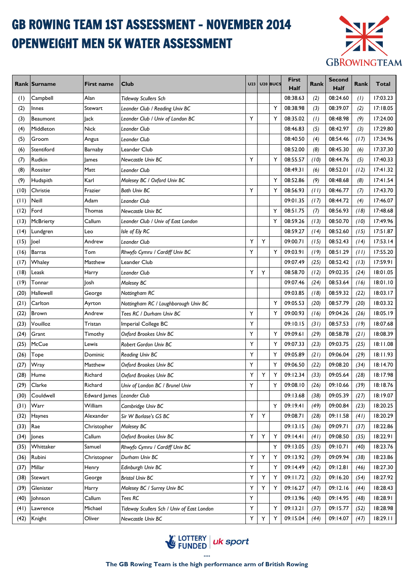# GB ROWING TEAM 1ST ASSESSMENT - NOVEMBER 2014 OPENWEIGHT MEN 5K WATER ASSESSMENT



|      | <b>Rank Surname</b> | <b>First name</b> | <b>Club</b>                                | <b>U23</b> |             | U <sub>20</sub> BUCS | First<br>Half | Rank | <b>Second</b><br>Half | Rank | Total    |
|------|---------------------|-------------------|--------------------------------------------|------------|-------------|----------------------|---------------|------|-----------------------|------|----------|
| (1)  | Campbell            | Alan              | <b>Tideway Scullers Sch</b>                |            |             |                      | 08:38.63      | (2)  | 08:24.60              | (1)  | 17:03.23 |
| (2)  | Innes               | Stewart           | Leander Club / Reading Univ BC             |            |             | Υ                    | 08:38.98      | (3)  | 08:39.07              | (2)  | 17:18.05 |
| (3)  | Beaumont            | ack               | Leander Club / Univ of London BC           | Υ          |             | Y                    | 08:35.02      | (1)  | 08:48.98              | (9)  | 17:24.00 |
| (4)  | Middleton           | <b>Nick</b>       | Leander Club                               |            |             |                      | 08:46.83      | (5)  | 08:42.97              | (3)  | 17:29.80 |
| (5)  | Groom               | Angus             | Leander Club                               |            |             |                      | 08:40.50      | (4)  | 08:54.46              | (17) | 17:34.96 |
| (6)  | Stentiford          | Barnaby           | Leander Club                               |            |             |                      | 08:52.00      | (8)  | 08:45.30              | (6)  | 17:37.30 |
| (7)  | Rudkin              | <b>James</b>      | Newcastle Univ BC                          | Υ          |             | Y                    | 08:55.57      | (10) | 08:44.76              | (5)  | 17:40.33 |
| (8)  | Rossiter            | Matt              | Leander Club                               |            |             |                      | 08:49.31      | (6)  | 08:52.01              | (12) | 17:41.32 |
| (9)  | Hudspith            | Karl              | Molesey BC / Oxford Univ BC                |            |             | Y                    | 08:52.86      | (9)  | 08:48.68              | (8)  | 17:41.54 |
| (10) | Christie            | Frazier           | <b>Bath Univ BC</b>                        | Y          |             | Y                    | 08:56.93      | (11) | 08:46.77              | (7)  | 17:43.70 |
| (11) | Neill               | Adam              | Leander Club                               |            |             |                      | 09:01.35      | (17) | 08:44.72              | (4)  | 17:46.07 |
| (12) | Ford                | Thomas            | Newcastle Univ BC                          |            |             | Y                    | 08:51.75      | (7)  | 08:56.93              | (18) | 17:48.68 |
| (13) | <b>McBrierty</b>    | Callum            | Leander Club / Univ of East London         |            |             | Y                    | 08:59.26      | (13) | 08:50.70              | (10) | 17:49.96 |
| (14) | Lundgren            | Leo               | Isle of Ely RC                             |            |             |                      | 08:59.27      | (14) | 08:52.60              | (15) | 17:51.87 |
| (15) | Joel                | Andrew            | <b>Leander Club</b>                        | Y          | Υ           |                      | 09:00.71      | (15) | 08:52.43              | (14) | 17:53.14 |
| (16) | <b>Barras</b>       | Tom               | Rhwyfo Cymru / Cardiff Univ BC             | Υ          |             | Y                    | 09:03.91      | (19) | 08:51.29              | (11) | 17:55.20 |
| (17) | Whaley              | Matthew           | Leander Club                               |            |             |                      | 09:07.49      | (25) | 08:52.42              | (13) | 17:59.91 |
| (18) | Leask               | Harry             | Leander Club                               | Y          | Y           |                      | 08:58.70      | (12) | 09:02.35              | (24) | 18:01.05 |
| (19) | Tonnar              | Josh              | Molesey BC                                 |            |             |                      | 09:07.46      | (24) | 08:53.64              | (16) | 18:01.10 |
| (20) | Hallewell           | George            | Nottingham RC                              |            |             |                      | 09:03.85      | (18) | 08:59.32              | (22) | 18:03.17 |
| (21) | Carlton             | Ayrton            | Nottingham RC / Loughborough Univ BC       |            |             | Y                    | 09:05.53      | (20) | 08:57.79              | (20) | 18:03.32 |
| (22) | <b>Brown</b>        | Andrew            | Tees RC / Durham Univ BC                   | Υ          |             | Y                    | 09:00.93      | (16) | 09:04.26              | (26) | 18:05.19 |
| (23) | Vouilloz            | Tristan           | Imperial College BC                        | Y          |             |                      | 09:10.15      | (31) | 08:57.53              | (19) | 18:07.68 |
| (24) | Grant               | Timothy           | Oxford Brookes Univ BC                     | Y          |             | Y                    | 09:09.61      | (29) | 08:58.78              | (21) | 18:08.39 |
| (25) | McCue               | Lewis             | <b>Robert Gordon Univ BC</b>               | Y          |             | Y                    | 09:07.33      | (23) | 09:03.75              | (25) | 18:11.08 |
| (26) | Tope                | Dominic           | Reading Univ BC                            | Y          |             | Y                    | 09:05.89      | (21) | 09:06.04              | (29) | 18:11.93 |
| (27) | Wray                | Matthew           | Oxford Brookes Univ BC                     | Υ          |             | Y                    | 09:06.50      | (22) | 09:08.20              | (34) | 18:14.70 |
| (28) | Hume                | Richard           | Oxford Brookes Univ BC                     | Υ          | Υ           | Υ                    | 09:12.34      | (33) | 09:05.64              | (28) | 18:17.98 |
| (29) | Clarke              | Richard           | Univ of London BC / Brunel Univ            | Υ          |             | Υ                    | 09:08.10      | (26) | 09:10.66              | (39) | 18:18.76 |
| (30) | Couldwell           | Edward James      | Leander Club                               |            |             |                      | 09:13.68      | (38) | 09:05.39              | (27) | 18:19.07 |
| (31) | Warr                | William           | Cambridge Univ BC                          |            |             | Y                    | 09:19.41      | (49) | 09:00.84              | (23) | 18:20.25 |
| (32) | Haynes              | Alexander         | Sir W Borlase's GS BC                      | Y          | Υ           |                      | 09:08.71      | (28) | 09:11.58              | (41) | 18:20.29 |
| (33) | Rae                 | Christopher       | Molesey BC                                 |            |             |                      | 09:13.15      | (36) | 09:09.71              | (37) | 18:22.86 |
| (34) | lones               | Callum            | Oxford Brookes Univ BC                     | Y          | $\mathsf Y$ | Υ                    | 09:14.41      | (41) | 09:08.50              | (35) | 18:22.91 |
| (35) | Whittaker           | Samuel            | Rhwyfo Cymru / Cardiff Univ BC             |            |             | Υ                    | 09:13.05      | (35) | 09:10.71              | (40) | 18:23.76 |
| (36) | Rubini              | Christopner       | Durham Univ BC                             | Υ          | Υ           | Υ                    | 09:13.92      | (39) | 09:09.94              | (38) | 18:23.86 |
| (37) | Millar              | Henry             | Edinburgh Univ BC                          | Y          |             | Υ                    | 09:14.49      | (42) | 09:12.81              | (46) | 18:27.30 |
| (38) | Stewart             | George            | <b>Bristol Univ BC</b>                     | Y          | Υ           | Y                    | 09:11.72      | (32) | 09:16.20              | (54) | 18:27.92 |
| (39) | Glenister           | Harry             | Molesey BC / Surrey Univ BC                | Υ          | Υ           | Υ                    | 09:16.27      | (47) | 09:12.16              | (44) | 18:28.43 |
| (40) | Johnson             | Callum            | Tees RC                                    | Υ          |             |                      | 09:13.96      | (40) | 09:14.95              | (48) | 18:28.91 |
| (41) | Lawrence            | Michael           | Tideway Scullers Sch / Univ of East London | Υ          |             | Υ                    | 09:13.21      | (37) | 09:15.77              | (52) | 18:28.98 |
| (42) | Knight              | Oliver            | Newcastle Univ BC                          | Υ          | Υ           | Υ                    | 09:15.04      | (44) | 09:14.07              | (47) | 18:29.11 |

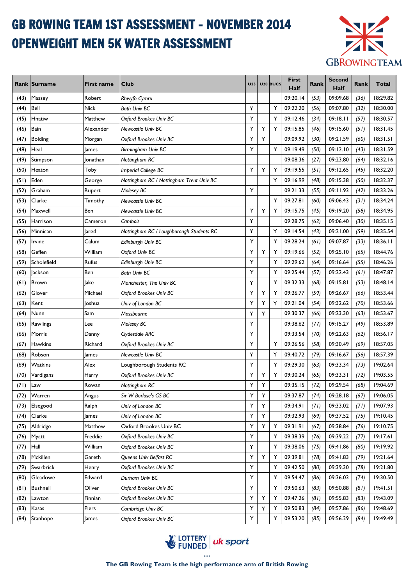# GB ROWING TEAM 1ST ASSESSMENT - NOVEMBER 2014 OPENWEIGHT MEN 5K WATER ASSESSMENT



|      | <b>Rank Surname</b> | First name | <b>Club</b>                              | <b>U23</b> |    | U <sub>20</sub> BUCS | First<br>Half | Rank | <b>Second</b><br>Half | Rank | Total    |
|------|---------------------|------------|------------------------------------------|------------|----|----------------------|---------------|------|-----------------------|------|----------|
| (43) | Massey              | Robert     | Rhwyfo Cymru                             |            |    |                      | 09:20.14      | (53) | 09:09.68              | (36) | 18:29.82 |
| (44) | Bell                | Nick       | <b>Bath Univ BC</b>                      | Υ          |    | Y                    | 09:22.20      | (56) | 09:07.80              | (32) | 18:30.00 |
| (45) | Hnatiw              | Matthew    | Oxford Brookes Univ BC                   | Y          |    | Y                    | 09:12.46      | (34) | 09:18.11              | (57) | 18:30.57 |
| (46) | Bain                | Alexander  | Newcastle Univ BC                        | Y          | Y  | Y                    | 09:15.85      | (46) | 09:15.60              | (51) | 18:31.45 |
| (47) | <b>Bolding</b>      | Morgan     | Oxford Brookes Univ BC                   | Υ          | Y  |                      | 09:09.92      | (30) | 09:21.59              | (60) | 18:31.51 |
| (48) | Heal                | James      | Birmingham Univ BC                       | Y          |    | Y                    | 09:19.49      | (50) | 09:12.10              | (43) | 18:31.59 |
| (49) | Stimpson            | Ionathan   | Nottingham RC                            |            |    |                      | 09:08.36      | (27) | 09:23.80              | (64) | 18:32.16 |
| (50) | Heaton              | Toby       | <b>Imperial College BC</b>               | Y          | Y  | Υ                    | 09:19.55      | (51) | 09:12.65              | (45) | 18:32.20 |
| (51) | Eden                | George     | Nottingham RC / Nottingham Trent Univ BC |            |    | Y                    | 09:16.99      | (48) | 09:15.38              | (50) | 18:32.37 |
| (52) | Graham              | Rupert     | Molesey BC                               | Y          |    |                      | 09:21.33      | (55) | 09:11.93              | (42) | 18:33.26 |
| (53) | Clarke              | Timothy    | Newcastle Univ BC                        |            |    | Υ                    | 09:27.81      | (60) | 09:06.43              | (31) | 18:34.24 |
| (54) | Maxwell             | Ben        | Newcastle Univ BC                        | Y          | Y  | Υ                    | 09:15.75      | (45) | 09:19.20              | (58) | 18:34.95 |
| (55) | Harrison            | Cameron    | Cambois                                  | Υ          |    |                      | 09:28.75      | (62) | 09:06.40              | (30) | 18:35.15 |
| (56) | Minnican            | Jared      | Nottingham RC / Loughborough Students RC | Υ          |    | Y                    | 09:14.54      | (43) | 09:21.00              | (59) | 18:35.54 |
| (57) | Irvine              | Calum      | Edinburgh Univ BC                        | Y          |    | Y                    | 09:28.24      | (61) | 09:07.87              | (33) | 18:36.11 |
| (58) | Geffen              | William    | Oxford Univ BC                           | Υ          | Υ  | Y                    | 09:19.66      | (52) | 09:25.10              | (65) | 18:44.76 |
| (59) | Scholefield         | Rufus      | Edinburgh Univ BC                        | Y          |    | Y                    | 09:29.62      | (64) | 09:16.64              | (55) | 18:46.26 |
| (60) | <b>Jackson</b>      | Ben        | <b>Bath Univ BC</b>                      | Υ          |    | Y                    | 09:25.44      | (57) | 09:22.43              | (61) | 18:47.87 |
| (61) | Brown               | lake       | Manchester, The Univ BC                  | Υ          |    | Y                    | 09:32.33      | (68) | 09:15.81              | (53) | 18:48.14 |
| (62) | Glover              | Michael    | Oxford Brookes Univ BC                   | Υ          | Υ  | Υ                    | 09:26.77      | (59) | 09:26.67              | (66) | 18:53.44 |
| (63) | Kent                | Ioshua     | Univ of London BC                        | Y          | Y  | Y                    | 09:21.04      | (54) | 09:32.62              | (70) | 18:53.66 |
| (64) | Nunn                | Sam        | Mossbourne                               | Y          | Y  |                      | 09:30.37      | (66) | 09:23.30              | (63) | 18:53.67 |
| (65) | Rawlings            | Lee        | Molesey BC                               | Y          |    |                      | 09:38.62      | (77) | 09:15.27              | (49) | 18:53.89 |
| (66) | Morris              | Danny      | Clydesdale ARC                           | Y          |    |                      | 09:33.54      | (70) | 09:22.63              | (62) | 18:56.17 |
| (67) | <b>Hawkins</b>      | Richard    | Oxford Brookes Univ BC                   | Υ          |    | Υ                    | 09:26.56      | (58) | 09:30.49              | (69) | 18:57.05 |
| (68) | Robson              | James      | <b>Newcastle Univ BC</b>                 | Υ          |    | Y                    | 09:40.72      | (79) | 09:16.67              | (56) | 18:57.39 |
| (69) | Watkins             | Alex       | Loughborough Students RC                 | Υ          |    | Υ                    | 09:29.30      | (63) | 09:33.34              | (73) | 19:02.64 |
| (70) | Vardigans           | Harry      | Oxford Brookes Univ BC                   | Υ          | Υ  | Y                    | 09:30.24      | (65) | 09:33.31              | (72) | 19:03.55 |
| (71) | Law                 | Rowan      | Nottingham RC                            | Υ          | Υ  |                      | 09:35.15      | (72) | 09:29.54              | (68) | 19:04.69 |
| (72) | Warren              | Angus      | Sir W Borlase's GS BC                    | Y          | Υ  |                      | 09:37.87      | (74) | 09:28.18              | (67) | 19:06.05 |
| (73) | Elsegood            | Ralph      | Univ of London BC                        | Υ          | Y  |                      | 09:34.91      | (71) | 09:33.02              | (71) | 19:07.93 |
| (74) | Clarke              | James      | Univ of London BC                        | Υ          | Y  |                      | 09:32.93      | (69) | 09:37.52              | (75) | 19:10.45 |
| (75) | Aldridge            | Matthew    | Oxford Brookes Univ BC                   | Υ          | Y. | Υ                    | 09:31.91      | (67) | 09:38.84              | (76) | 19:10.75 |
| (76) | <b>Myatt</b>        | Freddie    | Oxford Brookes Univ BC                   | Υ          |    | Y                    | 09:38.39      | (76) | 09:39.22              | (77) | 19:17.61 |
| (77) | Hall                | William    | Oxford Brookes Univ BC                   | Υ          |    | Υ                    | 09:38.06      | (75) | 09:41.86              | (80) | 19:19.92 |
| (78) | Mckillen            | Gareth     | Queens Univ Belfast RC                   | Y          | Υ  | Υ                    | 09:39.81      | (78) | 09:41.83              | (79) | 19:21.64 |
| (79) | Swarbrick           | Henry      | Oxford Brookes Univ BC                   | Υ          |    | Y                    | 09:42.50      | (80) | 09:39.30              | (78) | 19:21.80 |
| (80) | Gleadowe            | Edward     | Durham Univ BC                           | Y          |    | Υ                    | 09:54.47      | (86) | 09:36.03              | (74) | 19:30.50 |
| (81) | <b>Bushnell</b>     | Oliver     | Oxford Brookes Univ BC                   | Υ          |    | Υ                    | 09:50.63      | (83) | 09:50.88              | (81) | 19:41.51 |
| (82) | Lawton              | Finnian    | Oxford Brookes Univ BC                   | Υ          | Υ  | Υ                    | 09:47.26      | (81) | 09:55.83              | (83) | 19:43.09 |
| (83) | Kasas               | Piers      | Cambridge Univ BC                        | Υ          | Υ  | Υ                    | 09:50.83      | (84) | 09:57.86              | (86) | 19:48.69 |
| (84) | Stanhope            | James      | Oxford Brookes Univ BC                   | Υ          |    | Y                    | 09:53.20      | (85) | 09:56.29              | (84) | 19:49.49 |

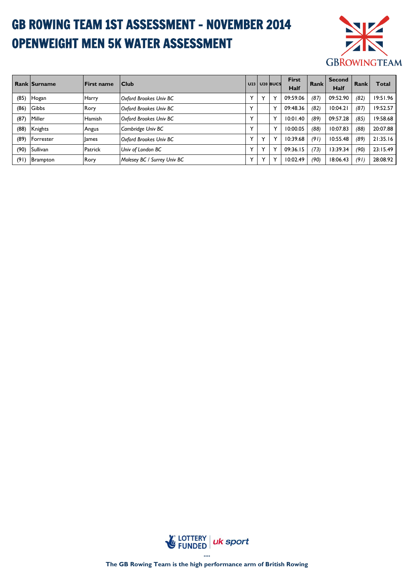# GB ROWING TEAM 1ST ASSESSMENT - NOVEMBER 2014 OPENWEIGHT MEN 5K WATER ASSESSMENT



|      | <b>Rank Surname</b> | <b>IFirst name</b> | <b>Club</b>                 | U <sub>23</sub> | U <sub>20</sub> BUCS | <b>First</b><br>Half | Rank | <b>Second</b><br>Half | Rank | <b>Total</b> |
|------|---------------------|--------------------|-----------------------------|-----------------|----------------------|----------------------|------|-----------------------|------|--------------|
| (85) | Hogan               | Harry              | Oxford Brookes Univ BC      | $\checkmark$    | $\checkmark$         | 09:59.06             | (87) | 09:52.90              | (82) | 19:51.96     |
| (86) | Gibbs               | Rory               | Oxford Brookes Univ BC      | $\checkmark$    | v                    | 09:48.36             | (82) | 10:04.21              | (87) | 19:52.57     |
| (87) | Miller              | Hamish             | Oxford Brookes Univ BC      | $\checkmark$    | $\checkmark$         | 10:01.40             | (89) | 09:57.28              | (85) | 19:58.68     |
| (88) | Knights             | Angus              | Cambridge Univ BC           | $\checkmark$    | $\checkmark$         | 10:00.05             | (88) | 10:07.83              | (88) | 20:07.88     |
| (89) | Forrester           | llames             | Oxford Brookes Univ BC      | $\checkmark$    | $\checkmark$         | 10:39.68             | (91) | 10:55.48              | (89) | 21:35.16     |
| (90) | Sullivan            | Patrick            | Univ of London BC           | $\checkmark$    | $\checkmark$         | 09:36.15             | (73) | 13:39.34              | (90) | 23:15.49     |
| (91) | <b>Brampton</b>     | Rory               | Molesey BC / Surrey Univ BC | $\checkmark$    | $\checkmark$         | 10:02.49             | (90) | 18:06.43              | (91) | 28:08.92     |

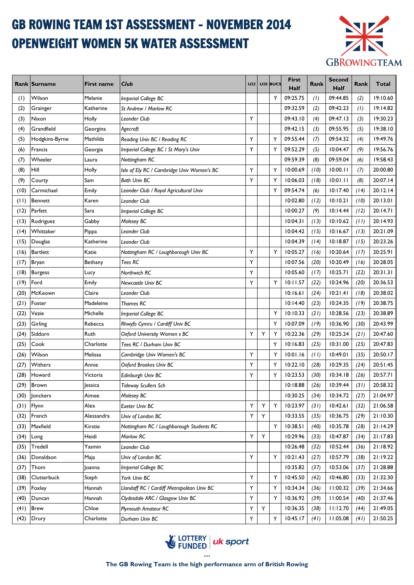# GB ROWING TEAM 1ST ASSESSMENT - NOVEMBER 2014 OPENWEIGHT WOMEN 5K WATER ASSESSMENT



|      | <b>Rank Surname</b> | <b>First name</b> | <b>Club</b>                                | U <sub>23</sub> |   | U <sub>20</sub> BUCS | <b>First</b><br>Half | Rank | <b>Second</b><br>Half | Rank | Total    |
|------|---------------------|-------------------|--------------------------------------------|-----------------|---|----------------------|----------------------|------|-----------------------|------|----------|
| (1)  | Wilson              | Melanie           | <b>Imperial College BC</b>                 |                 |   | Y                    | 09:25.75             | (1)  | 09:44.85              | (2)  | 19:10.60 |
| (2)  | Grainger            | Katherine         | St Andrew / Marlow RC                      |                 |   |                      | 09:32.59             | (2)  | 09:42.23              | (1)  | 19:14.82 |
| (3)  | Nixon               | Holly             | Leander Club                               | Υ               |   |                      | 09:43.10             | (4)  | 09:47.13              | (3)  | 19:30.23 |
| (4)  | Grandfield          | Georgina          | Agecroft                                   |                 |   |                      | 09:42.15             | (3)  | 09:55.95              | (5)  | 19:38.10 |
| (5)  | Hodgkins-Byrne      | Mathilda          | Reading Univ BC / Reading RC               | Υ               |   | Υ                    | 09:55.44             | (7)  | 09:54.32              | (4)  | 19:49.76 |
| (6)  | Francis             | Georgia           | Imperial College BC / St Mary's Univ       | Υ               |   | Y                    | 09:52.29             | (5)  | 10:04.47              | (9)  | 19:56.76 |
| (7)  | Wheeler             | Laura             | Nottingham RC                              |                 |   |                      | 09:59.39             | (8)  | 09:59.04              | (6)  | 19:58.43 |
| (8)  | Hill                | Holly             | Isle of Ely RC / Cambridge Univ Women's BC | Υ               |   | Y                    | 10:00.69             | (10) | 10:00.11              | (7)  | 20:00.80 |
| (9)  | Courty              | Sam               | <b>Bath Univ BC</b>                        | Υ               |   | Y                    | 10:06.03             | (18) | 10:01.11              | (8)  | 20:07.14 |
| (10) | Carmichael          | Emily             | Leander Club / Royal Agricultural Univ     |                 |   | Y                    | 09:54.74             | (6)  | 10:17.40              | (14) | 20:12.14 |
| (11) | Bennett             | Karen             | Leander Club                               |                 |   |                      | 10:02.80             | (12) | 10:10.21              | (10) | 20:13.01 |
| (12) | Parfett             | Sara              | <b>Imperial College BC</b>                 |                 |   |                      | 10:00.27             | (9)  | 10:14.44              | (12) | 20:14.71 |
| (13) | Rodriguez           | Gabby             | Molesey BC                                 |                 |   |                      | 10:04.31             | (13) | 10:10.62              | (11) | 20:14.93 |
| (14) | Whittaker           | Pippa             | Leander Club                               |                 |   |                      | 10:04.42             | (15) | 10:16.67              | (13) | 20:21.09 |
| (15) | Douglas             | Katherine         | <b>Leander Club</b>                        |                 |   |                      | 10:04.39             | (14) | 10:18.87              | (15) | 20:23.26 |
| (16) | <b>Bartlett</b>     | Katie             | Nottingham RC / Loughborough Univ BC       | Υ               |   | Υ                    | 10:05.27             | (16) | 10:20.64              | (17) | 20:25.91 |
| (17) | Bryan               | Bethany           | Tees RC                                    | Υ               |   |                      | 10:07.56             | (20) | 10:20.49              | (16) | 20:28.05 |
| (18) | <b>Burgess</b>      | Lucy              | Northwich RC                               | Y               |   |                      | 10:05.60             | (17) | 10:25.71              | (22) | 20:31.31 |
| (19) | Ford                | Emily             | Newcastle Univ BC                          | Y               |   | Υ                    | 10:11.57             | (22) | 10:24.96              | (20) | 20:36.53 |
| (20) | McKeown             | Claire            | Leander Club                               |                 |   |                      | 10:16.61             | (24) | 10:21.41              | (18) | 20:38.02 |
| (21) | Foster              | Madeleine         | Thames RC                                  |                 |   |                      | 10:14.40             | (23) | 10:24.35              | (19) | 20:38.75 |
| (22) | Vezie               | Michelle          | <b>Imperial College BC</b>                 |                 |   | Υ                    | 10:10.33             | (21) | 10:28.56              | (23) | 20:38.89 |
| (23) | Girling             | Rebecca           | Rhwyfo Cymru / Cardiff Univ BC             |                 |   | Υ                    | 10:07.09             | (19) | 10:36.90              | (30) | 20:43.99 |
| (24) | Siddorn             | Ruth              | Oxford University Women s BC               | Υ               | Υ | Υ                    | 10:22.36             | (29) | 10:25.24              | (21) | 20:47.60 |
| (25) | Cook                | Charlotte         | Tees RC / Durham Univ BC                   |                 |   | Y                    | 10:16.83             | (25) | 10:31.00              | (25) | 20:47.83 |
| (26) | Wilson              | Melissa           | Cambridge Univ Women's BC                  | Υ               |   | Y                    | 10:01.16             | (11) | 10:49.01              | (35) | 20:50.17 |
| (27) | Withers             | Annie             | Oxford Brookes Univ BC                     | Υ               |   | Y                    | 10:22.10             | (28) | 10:29.35              | (24) | 20:51.45 |
| (28) | Howard              | Victoria          | Edinburgh Univ BC                          | Υ               |   | Υ                    | 10:23.53             | (30) | 10:34.18              | (26) | 20:57.71 |
|      | $(29)$ Brown        | <b>Jessica</b>    | <b>Tideway Scullers Sch</b>                |                 |   |                      | 10:18.88             | (26) | 10:39.44              | (31) | 20:58.32 |
| (30) | Jonckers            | Aimee             | Molesey BC                                 |                 |   |                      | 10:30.25             | (34) | 10:34.72              | (27) | 21:04.97 |
| (31) | Flynn               | Alex              | <b>Exeter Univ BC</b>                      | Υ               | Υ | Υ                    | 10:23.97             | (31) | 10:42.61              | (32) | 21:06.58 |
| (32) | French              | Alessandra        | Univ of London BC                          | Y               | Υ |                      | 10:33.55             | (35) | 10:36.75              | (29) | 21:10.30 |
| (33) | Maxfield            | Kirstie           | Nottingham RC / Loughborough Students RC   |                 |   | Y                    | 10:38.51             | (40) | 10:35.78              | (28) | 21:14.29 |
| (34) | Long                | Heidi             | Marlow RC                                  | Y               | Y |                      | 10:29.96             | (33) | 10:47.87              | (34) | 21:17.83 |
| (35) | <b>Tredell</b>      | Yasmin            | Leander Club                               |                 |   |                      | 10:26.48             | (32) | 10:52.44              | (36) | 21:18.92 |
| (36) | Donaldson           | Maja              | Univ of London BC                          | Υ               |   | Υ                    | 10:21.43             | (27) | 10:57.79              | (38) | 21:19.22 |
| (37) | Thom                | 0anna             | <b>Imperial College BC</b>                 |                 |   |                      | 10:35.82             | (37) | 10:53.06              | (37) | 21:28.88 |
| (38) | Clutterbuck         | Steph             | York Univ BC                               | Y               |   | Υ                    | 10:45.50             | (42) | 10:46.80              | (33) | 21:32.30 |
| (39) | Foxley              | Hannah            | Llandaff RC / Cardiff Metropolitan Univ BC | Υ               |   | Υ                    | 10:34.34             | (36) | 11:00.32              | (39) | 21:34.66 |
| (40) | Duncan              | Hannah            | Clydesdale ARC / Glasgow Univ BC           | Υ               |   | Υ                    | 10:36.92             | (39) | 11:00.54              | (40) | 21:37.46 |
| (41) | <b>Brew</b>         | Chloe             | <b>Plymouth Amateur RC</b>                 | Υ               | Υ |                      | 10:36.35             | (38) | 11:12.70              | (44) | 21:49.05 |
| (42) | Drury               | Charlotte         | Durham Univ BC                             | Υ               |   | Υ                    | 10:45.17             | (41) | 11:05.08              | (41) | 21:50.25 |

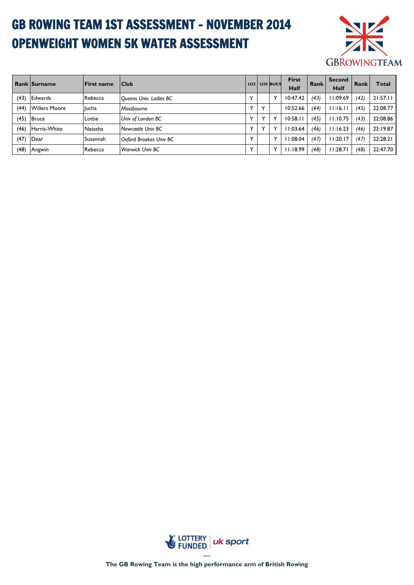# GB ROWING TEAM 1ST ASSESSMENT - NOVEMBER 2014 OPENWEIGHT WOMEN 5K WATER ASSESSMENT



|      | <b>Rank Surname</b>  | <b>First name</b> | <b>Club</b>            |              |              | <b>U23 U20 BUCS</b> | <b>First</b><br>Half | Rank | <b>Second</b><br>Half | Rank | <b>Total</b> |
|------|----------------------|-------------------|------------------------|--------------|--------------|---------------------|----------------------|------|-----------------------|------|--------------|
| (43) | <b>Edwards</b>       | Rebecca           | Queens Univ. Ladies BC | $\checkmark$ |              | $\checkmark$        | 10:47.42             | (43) | 11:09.69              | (42) | 21:57.11     |
| (44) | <b>Willers Moore</b> | <b>I</b> lucha    | Mossbourne             | v            |              |                     | 10:52.66             | (44) | 11:16.11              | (45) | 22:08.77     |
| (45) | <b>Bruce</b>         | Lottie            | Univ of London BC      | v            | $\checkmark$ | $\checkmark$        | 10:58.11             | (45) | 11:10.75              | (43) | 22:08.86     |
| (46) | Harris-White         | Natasha           | Newcastle Univ BC      | v            |              | $\checkmark$        | 1:03.64              | (46) | 11:16.23              | (46) | 22:19.87     |
| (47) | Dear                 | Susannah          | Oxford Brookes Univ BC | v            |              | $\checkmark$        | 1:08.04              | (47) | 11:20.17              | (47) | 22:28.21     |
| (48) | Angwin               | Rebecca           | <b>Warwick Univ BC</b> |              |              | $\checkmark$        | 11:18.99             | (48) | 11:28.71              | (48) | 22:47.70     |

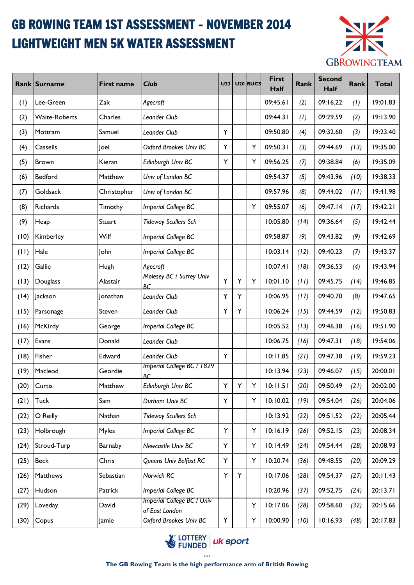## GB ROWING TEAM 1ST ASSESSMENT - NOVEMBER 2014 LIGHTWEIGHT MEN 5K WATER ASSESSMENT



|      | Rank Surname  | <b>First name</b> | <b>Club</b>                                         | U23 |   | U <sub>20</sub> BUCS | <b>First</b><br>Half | Rank | <b>Second</b><br>Half | Rank | <b>Total</b> |
|------|---------------|-------------------|-----------------------------------------------------|-----|---|----------------------|----------------------|------|-----------------------|------|--------------|
| (1)  | Lee-Green     | Zak               | Agecroft                                            |     |   |                      | 09:45.61             | (2)  | 09:16.22              | (1)  | 19:01.83     |
| (2)  | Waite-Roberts | Charles           | Leander Club                                        |     |   |                      | 09:44.31             | (1)  | 09:29.59              | (2)  | 19:13.90     |
| (3)  | Mottram       | Samuel            | Leander Club                                        | Υ   |   |                      | 09:50.80             | (4)  | 09:32.60              | (3)  | 19:23.40     |
| (4)  | Cassells      | Joel              | Oxford Brookes Univ BC                              | Υ   |   | Y                    | 09:50.31             | (3)  | 09:44.69              | (13) | 19:35.00     |
| (5)  | <b>Brown</b>  | Kieran            | Edinburgh Univ BC                                   | Y   |   | Υ                    | 09:56.25             | (7)  | 09:38.84              | (6)  | 19:35.09     |
| (6)  | Bedford       | Matthew           | Univ of London BC                                   |     |   |                      | 09:54.37             | (5)  | 09:43.96              | (10) | 19:38.33     |
| (7)  | Goldsack      | Christopher       | Univ of London BC                                   |     |   |                      | 09:57.96             | (8)  | 09:44.02              | (11) | 19:41.98     |
| (8)  | Richards      | Timothy           | Imperial College BC                                 |     |   | Υ                    | 09:55.07             | (6)  | 09:47.14              | (17) | 19:42.21     |
| (9)  | Heap          | Stuart            | <b>Tideway Scullers Sch</b>                         |     |   |                      | 10:05.80             | (14) | 09:36.64              | (5)  | 19:42.44     |
| (10) | Kimberley     | Wilf              | Imperial College BC                                 |     |   |                      | 09:58.87             | (9)  | 09:43.82              | (9)  | 19:42.69     |
| (11) | Hale          | <b>John</b>       | Imperial College BC                                 |     |   |                      | 10:03.14             | (12) | 09:40.23              | (7)  | 19:43.37     |
| (12) | Gallie        | Hugh              | Agecroft                                            |     |   |                      | 10:07.41             | (18) | 09:36.53              | (4)  | 19:43.94     |
| (13) | Douglass      | Alastair          | <b>Molesey BC / Surrey Univ</b><br>RС.              | Y   | Υ | Υ                    | 10:01.10             | (11) | 09:45.75              | (14) | 19:46.85     |
| (14) | Jackson       | Jonathan          | Leander Club                                        | Υ   | Υ |                      | 10:06.95             | (17) | 09:40.70              | (8)  | 19:47.65     |
| (15) | Parsonage     | Steven            | Leander Club                                        | Υ   | Υ |                      | 10:06.24             | (15) | 09:44.59              | (12) | 19:50.83     |
| (16) | McKirdy       | George            | Imperial College BC                                 |     |   |                      | 10:05.52             | (13) | 09:46.38              | (16) | 19:51.90     |
| (17) | Evans         | Donald            | Leander Club                                        |     |   |                      | 10:06.75             | (16) | 09:47.31              | (18) | 19:54.06     |
| (18) | Fisher        | Edward            | Leander Club                                        | Y   |   |                      | 10:11.85             | (21) | 09:47.38              | (19) | 19:59.23     |
| (19) | Macleod       | Geordie           | Imperial College BC / 1829<br><b>BC</b>             |     |   |                      | 10:13.94             | (23) | 09:46.07              | (15) | 20:00.01     |
| (20) | Curtis        | Matthew           | Edinburgh Univ BC                                   | Y   | Y | Υ                    | 10:11.51             | (20) | 09:50.49              | (21) | 20:02.00     |
| (21) | Tuck          | Sam               | Durham Univ BC                                      | Y   |   | Υ                    | 10:10.02             | (19) | 09:54.04              | (26) | 20:04.06     |
| (22) | O Reilly      | Nathan            | <b>Tideway Scullers Sch</b>                         |     |   |                      | 10:13.92             | (22) | 09:51.52              | (22) | 20:05.44     |
| (23) | Holbrough     | Myles             | Imperial College BC                                 | Υ   |   | Υ                    | 10:16.19             | (26) | 09:52.15              | (23) | 20:08.34     |
| (24) | Stroud-Turp   | Barnaby           | Newcastle Univ BC                                   | Y   |   | Υ                    | 10:14.49             | (24) | 09:54.44              | (28) | 20:08.93     |
| (25) | <b>Beck</b>   | Chris             | Queens Univ Belfast RC                              | Y   |   | Υ                    | 10:20.74             | (36) | 09:48.55              | (20) | 20:09.29     |
| (26) | Matthews      | Sebastian         | Norwich RC                                          | Υ   | Υ |                      | 10:17.06             | (28) | 09:54.37              | (27) | 20:11.43     |
| (27) | Hudson        | Patrick           | Imperial College BC                                 |     |   |                      | 10:20.96             | (37) | 09:52.75              | (24) | 20:13.71     |
| (29) | Loveday       | David             | <b>Imperial College BC / Univ</b><br>of East London |     |   | Υ                    | 10:17.06             | (28) | 09:58.60              | (32) | 20:15.66     |
| (30) | Copus         | Jamie             | Oxford Brookes Univ BC                              | Υ   |   | Υ                    | 10:00.90             | (10) | 10:16.93              | (48) | 20:17.83     |

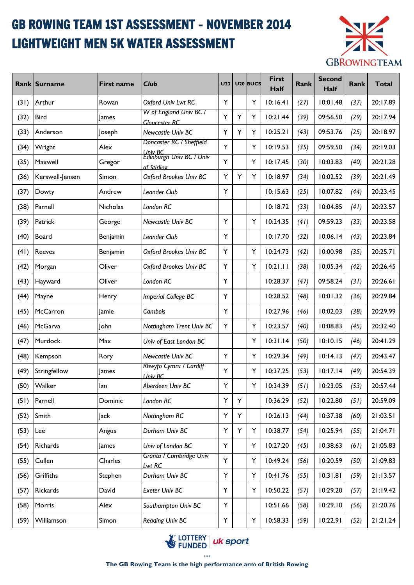## GB ROWING TEAM 1ST ASSESSMENT - NOVEMBER 2014 LIGHTWEIGHT MEN 5K WATER ASSESSMENT



|      | <b>Rank Surname</b> | <b>First name</b> | <b>Club</b>                                        | U <sub>23</sub> |   | U <sub>20</sub> BUCS | <b>First</b><br>Half | <b>Rank</b> | <b>Second</b><br>Half | Rank | <b>Total</b> |
|------|---------------------|-------------------|----------------------------------------------------|-----------------|---|----------------------|----------------------|-------------|-----------------------|------|--------------|
| (31) | Arthur              | Rowan             | Oxford Univ Lwt RC                                 | Υ               |   | Y                    | 10:16.41             | (27)        | 10:01.48              | (37) | 20:17.89     |
| (32) | <b>Bird</b>         | lames             | W of England Univ BC /<br><b>Gloucester RC</b>     | Y               | Y | Υ                    | 10:21.44             | (39)        | 09:56.50              | (29) | 20:17.94     |
| (33) | Anderson            | Joseph            | Newcastle Univ BC                                  | Υ               | Υ | Y                    | 10:25.21             | (43)        | 09:53.76              | (25) | 20:18.97     |
| (34) | Wright              | Alex              | Doncaster RC / Sheffield                           | Y               |   | Υ                    | 10:19.53             | (35)        | 09:59.50              | (34) | 20:19.03     |
| (35) | Maxwell             | Gregor            | Univ BC<br>Edinburgh Univ BC / Univ<br>of Stirling | Υ               |   | Y                    | 10:17.45             | (30)        | 10:03.83              | (40) | 20:21.28     |
| (36) | Kerswell-Jensen     | Simon             | Oxford Brookes Univ BC                             | Υ               | Y | Υ                    | 10:18.97             | (34)        | 10:02.52              | (39) | 20:21.49     |
| (37) | Dowty               | Andrew            | Leander Club                                       | Y               |   |                      | 10:15.63             | (25)        | 10:07.82              | (44) | 20:23.45     |
| (38) | Parnell             | Nicholas          | London RC                                          |                 |   |                      | 10:18.72             | (33)        | 10:04.85              | (41) | 20:23.57     |
| (39) | Patrick             | George            | Newcastle Univ BC                                  | Y               |   | Υ                    | 10:24.35             | (41)        | 09:59.23              | (33) | 20:23.58     |
| (40) | Board               | Benjamin          | Leander Club                                       | Y               |   |                      | 10:17.70             | (32)        | 10:06.14              | (43) | 20:23.84     |
| (41) | <b>Reeves</b>       | Benjamin          | Oxford Brookes Univ BC                             | Υ               |   | Y                    | 10:24.73             | (42)        | 10:00.98              | (35) | 20:25.71     |
| (42) | Morgan              | Oliver            | Oxford Brookes Univ BC                             | Υ               |   | Υ                    | 10:21.11             | (38)        | 10:05.34              | (42) | 20:26.45     |
| (43) | Hayward             | Oliver            | London RC                                          | Υ               |   |                      | 10:28.37             | (47)        | 09:58.24              | (31) | 20:26.61     |
| (44) | Mayne               | Henry             | Imperial College BC                                | Υ               |   |                      | 10:28.52             | (48)        | 10:01.32              | (36) | 20:29.84     |
| (45) | McCarron            | Jamie             | Cambois                                            | Y               |   |                      | 10:27.96             | (46)        | 10:02.03              | (38) | 20:29.99     |
| (46) | McGarva             | John              | Nottingham Trent Univ BC                           | Υ               |   | Υ                    | 10:23.57             | (40)        | 10:08.83              | (45) | 20:32.40     |
| (47) | Murdock             | Max               | Univ of East London BC                             |                 |   | Υ                    | 10:31.14             | (50)        | 10:10.15              | (46) | 20:41.29     |
| (48) | Kempson             | Rory              | <b>Newcastle Univ BC</b>                           | Υ               |   | Υ                    | 10:29.34             | (49)        | 10:14.13              | (47) | 20:43.47     |
| (49) | Stringfellow        | <b>James</b>      | Rhwyfo Cymru / Cardiff<br>Univ BC                  | Y               |   | Υ                    | 10:37.25             | (53)        | 10:17.14              | (49) | 20:54.39     |
| (50) | Walker              | lan               | Aberdeen Univ BC                                   | Y               |   | Y                    | 10:34.39             | (51)        | 10:23.05              | (53) | 20:57.44     |
| (51) | Parnell             | Dominic           | London RC                                          | Y               | Υ |                      | 10:36.29             | (52)        | 10:22.80              | (51) | 20:59.09     |
| (52) | Smith               | Jack              | Nottingham RC                                      | Υ               | Y |                      | 10:26.13             | (44)        | 10:37.38              | (60) | 21:03.51     |
| (53) | Lee                 | Angus             | Durham Univ BC                                     | Υ               | Υ | Υ                    | 10:38.77             | (54)        | 10:25.94              | (55) | 21:04.71     |
| (54) | Richards            | James             | Univ of London BC                                  | Y               |   | Υ                    | 10:27.20             | (45)        | 10:38.63              | (61) | 21:05.83     |
| (55) | Cullen              | Charles           | Granta / Cambridge Univ<br>Lwt RC                  | Y               |   | Υ                    | 10:49.24             | (56)        | 10:20.59              | (50) | 21:09.83     |
| (56) | Griffiths           | Stephen           | Durham Univ BC                                     | Υ               |   | Υ                    | 10:41.76             | (55)        | 10:31.81              | (59) | 21:13.57     |
| (57) | Rickards            | David             | Exeter Univ BC                                     | Y               |   | Υ                    | 10:50.22             | (57)        | 10:29.20              | (57) | 21:19.42     |
| (58) | Morris              | Alex              | Southampton Univ BC                                | Υ               |   |                      | 10:51.66             | (58)        | 10:29.10              | (56) | 21:20.76     |
| (59) | Williamson          | Simon             | Reading Univ BC                                    | Υ               |   | Υ                    | 10:58.33             | (59)        | 10:22.91              | (52) | 21:21.24     |

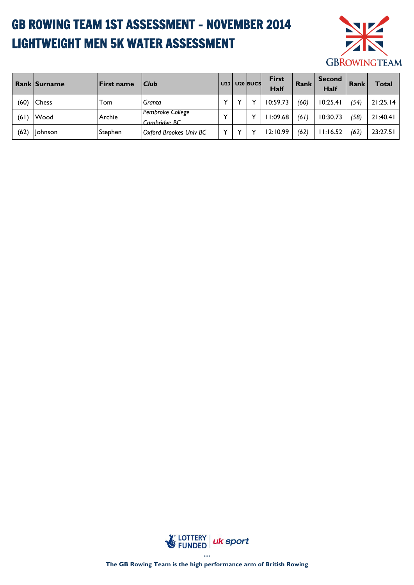# GB ROWING TEAM 1ST ASSESSMENT - NOVEMBER 2014 LIGHTWEIGHT MEN 5K WATER ASSESSMENT



|      | <b>Rank Surname</b> | <b>First name</b> | Club                             | U <sub>23</sub> | U <sub>20</sub> BUCS | <b>First</b><br>Half | <b>Rank</b> | <b>Second</b><br>Half | Rank | Total    |
|------|---------------------|-------------------|----------------------------------|-----------------|----------------------|----------------------|-------------|-----------------------|------|----------|
| (60) | Chess               | Tom               | Granta                           | $\checkmark$    |                      | 10:59.73             | (60)        | 10:25.41              | (54) | 21:25.14 |
| (61) | Wood                | Archie            | Pembroke College<br>Cambridge BC | $\checkmark$    |                      | 1:09.68              | (61)        | 10:30.73              | (58) | 21:40.41 |
| (62) | llohnson            | Stephen           | Oxford Brookes Univ BC           | $\checkmark$    |                      | 12:10.99             | (62)        | 11:16.52              | (62) | 23:27.51 |